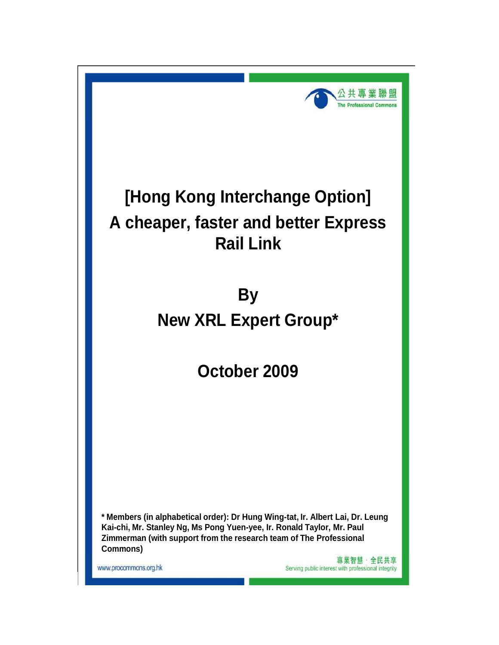

# **[Hong Kong Interchange Option] A cheaper, faster and better Express Rail Link**

**By New XRL Expert Group\***

**October 2009** 

**\* Members (in alphabetical order): Dr Hung Wing-tat, Ir. Albert Lai, Dr. Leung Kai-chi, Mr. Stanley Ng, Ms Pong Yuen-yee, Ir. Ronald Taylor, Mr. Paul Zimmerman (with support from the research team of The Professional Commons)**

www.procommons.org.hk

專業智慧·全民共享 Serving public interest with professional integrity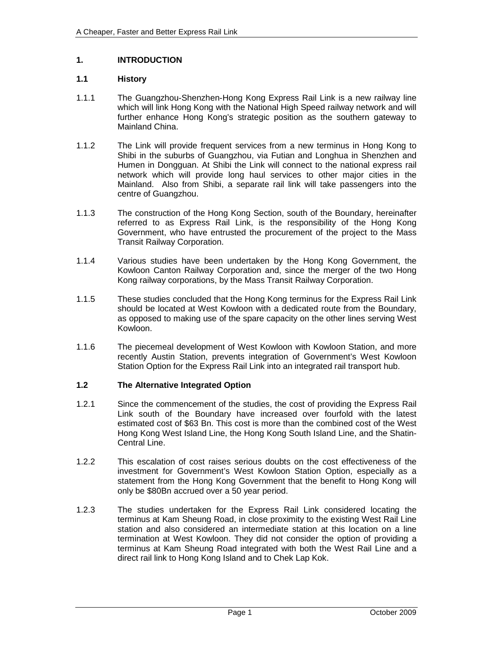## **1. INTRODUCTION**

## **1.1 History**

- 1.1.1 The Guangzhou-Shenzhen-Hong Kong Express Rail Link is a new railway line which will link Hong Kong with the National High Speed railway network and will further enhance Hong Kong's strategic position as the southern gateway to Mainland China.
- 1.1.2 The Link will provide frequent services from a new terminus in Hong Kong to Shibi in the suburbs of Guangzhou, via Futian and Longhua in Shenzhen and Humen in Dongguan. At Shibi the Link will connect to the national express rail network which will provide long haul services to other major cities in the Mainland. Also from Shibi, a separate rail link will take passengers into the centre of Guangzhou.
- 1.1.3 The construction of the Hong Kong Section, south of the Boundary, hereinafter referred to as Express Rail Link, is the responsibility of the Hong Kong Government, who have entrusted the procurement of the project to the Mass Transit Railway Corporation.
- 1.1.4 Various studies have been undertaken by the Hong Kong Government, the Kowloon Canton Railway Corporation and, since the merger of the two Hong Kong railway corporations, by the Mass Transit Railway Corporation.
- 1.1.5 These studies concluded that the Hong Kong terminus for the Express Rail Link should be located at West Kowloon with a dedicated route from the Boundary, as opposed to making use of the spare capacity on the other lines serving West Kowloon.
- 1.1.6 The piecemeal development of West Kowloon with Kowloon Station, and more recently Austin Station, prevents integration of Government's West Kowloon Station Option for the Express Rail Link into an integrated rail transport hub.

## **1.2 The Alternative Integrated Option**

- 1.2.1 Since the commencement of the studies, the cost of providing the Express Rail Link south of the Boundary have increased over fourfold with the latest estimated cost of \$63 Bn. This cost is more than the combined cost of the West Hong Kong West Island Line, the Hong Kong South Island Line, and the Shatin-Central Line.
- 1.2.2 This escalation of cost raises serious doubts on the cost effectiveness of the investment for Government's West Kowloon Station Option, especially as a statement from the Hong Kong Government that the benefit to Hong Kong will only be \$80Bn accrued over a 50 year period.
- 1.2.3 The studies undertaken for the Express Rail Link considered locating the terminus at Kam Sheung Road, in close proximity to the existing West Rail Line station and also considered an intermediate station at this location on a line termination at West Kowloon. They did not consider the option of providing a terminus at Kam Sheung Road integrated with both the West Rail Line and a direct rail link to Hong Kong Island and to Chek Lap Kok.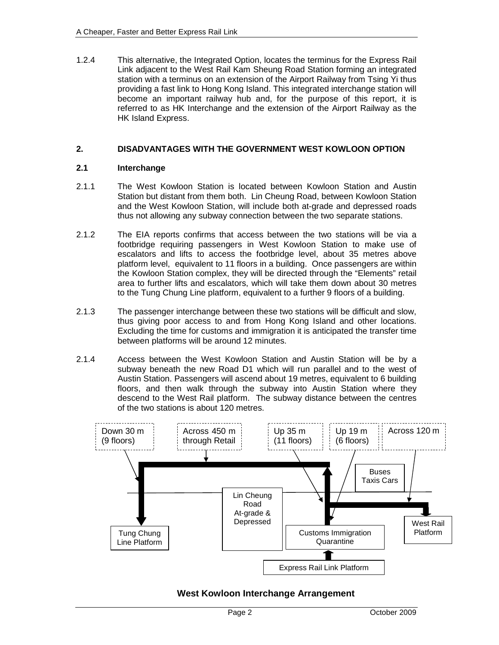1.2.4 This alternative, the Integrated Option, locates the terminus for the Express Rail Link adjacent to the West Rail Kam Sheung Road Station forming an integrated station with a terminus on an extension of the Airport Railway from Tsing Yi thus providing a fast link to Hong Kong Island. This integrated interchange station will become an important railway hub and, for the purpose of this report, it is referred to as HK Interchange and the extension of the Airport Railway as the HK Island Express.

## **2. DISADVANTAGES WITH THE GOVERNMENT WEST KOWLOON OPTION**

## **2.1 Interchange**

- 2.1.1 The West Kowloon Station is located between Kowloon Station and Austin Station but distant from them both. Lin Cheung Road, between Kowloon Station and the West Kowloon Station, will include both at-grade and depressed roads thus not allowing any subway connection between the two separate stations.
- 2.1.2 The EIA reports confirms that access between the two stations will be via a footbridge requiring passengers in West Kowloon Station to make use of escalators and lifts to access the footbridge level, about 35 metres above platform level, equivalent to 11 floors in a building. Once passengers are within the Kowloon Station complex, they will be directed through the "Elements" retail area to further lifts and escalators, which will take them down about 30 metres to the Tung Chung Line platform, equivalent to a further 9 floors of a building.
- 2.1.3 The passenger interchange between these two stations will be difficult and slow, thus giving poor access to and from Hong Kong Island and other locations. Excluding the time for customs and immigration it is anticipated the transfer time between platforms will be around 12 minutes.
- 2.1.4 Access between the West Kowloon Station and Austin Station will be by a subway beneath the new Road D1 which will run parallel and to the west of Austin Station. Passengers will ascend about 19 metres, equivalent to 6 building floors, and then walk through the subway into Austin Station where they descend to the West Rail platform. The subway distance between the centres of the two stations is about 120 metres.



# **West Kowloon Interchange Arrangement**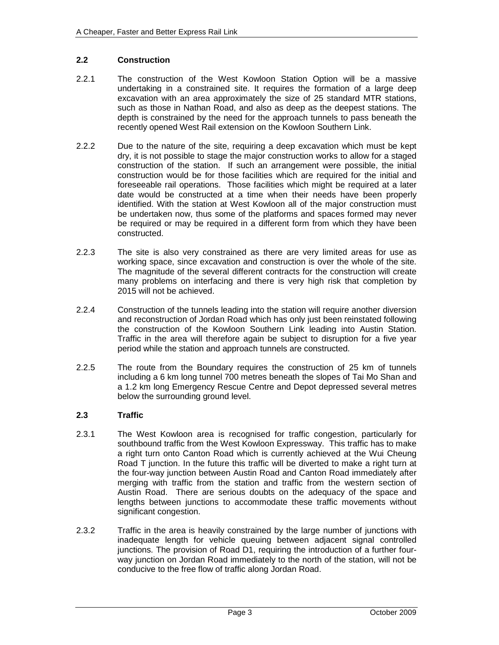## **2.2 Construction**

- 2.2.1 The construction of the West Kowloon Station Option will be a massive undertaking in a constrained site. It requires the formation of a large deep excavation with an area approximately the size of 25 standard MTR stations, such as those in Nathan Road, and also as deep as the deepest stations. The depth is constrained by the need for the approach tunnels to pass beneath the recently opened West Rail extension on the Kowloon Southern Link.
- 2.2.2 Due to the nature of the site, requiring a deep excavation which must be kept dry, it is not possible to stage the major construction works to allow for a staged construction of the station. If such an arrangement were possible, the initial construction would be for those facilities which are required for the initial and foreseeable rail operations. Those facilities which might be required at a later date would be constructed at a time when their needs have been properly identified. With the station at West Kowloon all of the major construction must be undertaken now, thus some of the platforms and spaces formed may never be required or may be required in a different form from which they have been constructed.
- 2.2.3 The site is also very constrained as there are very limited areas for use as working space, since excavation and construction is over the whole of the site. The magnitude of the several different contracts for the construction will create many problems on interfacing and there is very high risk that completion by 2015 will not be achieved.
- 2.2.4 Construction of the tunnels leading into the station will require another diversion and reconstruction of Jordan Road which has only just been reinstated following the construction of the Kowloon Southern Link leading into Austin Station. Traffic in the area will therefore again be subject to disruption for a five year period while the station and approach tunnels are constructed.
- 2.2.5 The route from the Boundary requires the construction of 25 km of tunnels including a 6 km long tunnel 700 metres beneath the slopes of Tai Mo Shan and a 1.2 km long Emergency Rescue Centre and Depot depressed several metres below the surrounding ground level.

## **2.3 Traffic**

- 2.3.1 The West Kowloon area is recognised for traffic congestion, particularly for southbound traffic from the West Kowloon Expressway. This traffic has to make a right turn onto Canton Road which is currently achieved at the Wui Cheung Road T junction. In the future this traffic will be diverted to make a right turn at the four-way junction between Austin Road and Canton Road immediately after merging with traffic from the station and traffic from the western section of Austin Road. There are serious doubts on the adequacy of the space and lengths between junctions to accommodate these traffic movements without significant congestion.
- 2.3.2 Traffic in the area is heavily constrained by the large number of junctions with inadequate length for vehicle queuing between adjacent signal controlled junctions. The provision of Road D1, requiring the introduction of a further fourway junction on Jordan Road immediately to the north of the station, will not be conducive to the free flow of traffic along Jordan Road.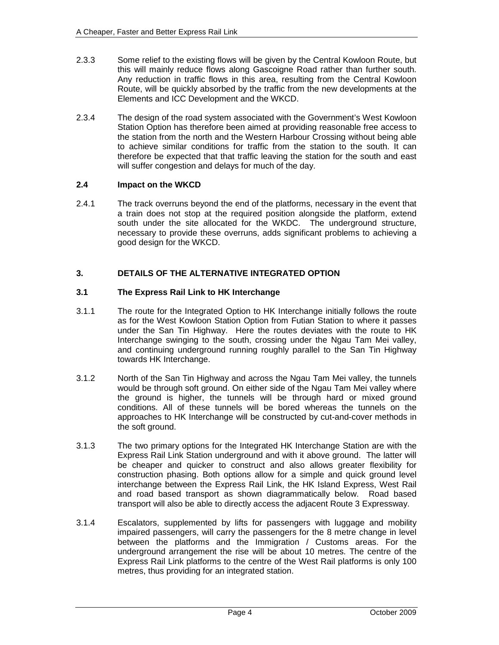- 2.3.3 Some relief to the existing flows will be given by the Central Kowloon Route, but this will mainly reduce flows along Gascoigne Road rather than further south. Any reduction in traffic flows in this area, resulting from the Central Kowloon Route, will be quickly absorbed by the traffic from the new developments at the Elements and ICC Development and the WKCD.
- 2.3.4 The design of the road system associated with the Government's West Kowloon Station Option has therefore been aimed at providing reasonable free access to the station from the north and the Western Harbour Crossing without being able to achieve similar conditions for traffic from the station to the south. It can therefore be expected that that traffic leaving the station for the south and east will suffer congestion and delays for much of the day.

## **2.4 Impact on the WKCD**

2.4.1 The track overruns beyond the end of the platforms, necessary in the event that a train does not stop at the required position alongside the platform, extend south under the site allocated for the WKDC. The underground structure, necessary to provide these overruns, adds significant problems to achieving a good design for the WKCD.

## **3. DETAILS OF THE ALTERNATIVE INTEGRATED OPTION**

## **3.1 The Express Rail Link to HK Interchange**

- 3.1.1 The route for the Integrated Option to HK Interchange initially follows the route as for the West Kowloon Station Option from Futian Station to where it passes under the San Tin Highway. Here the routes deviates with the route to HK Interchange swinging to the south, crossing under the Ngau Tam Mei valley, and continuing underground running roughly parallel to the San Tin Highway towards HK Interchange.
- 3.1.2 North of the San Tin Highway and across the Ngau Tam Mei valley, the tunnels would be through soft ground. On either side of the Ngau Tam Mei valley where the ground is higher, the tunnels will be through hard or mixed ground conditions. All of these tunnels will be bored whereas the tunnels on the approaches to HK Interchange will be constructed by cut-and-cover methods in the soft ground.
- 3.1.3 The two primary options for the Integrated HK Interchange Station are with the Express Rail Link Station underground and with it above ground. The latter will be cheaper and quicker to construct and also allows greater flexibility for construction phasing. Both options allow for a simple and quick ground level interchange between the Express Rail Link, the HK Island Express, West Rail and road based transport as shown diagrammatically below. Road based transport will also be able to directly access the adjacent Route 3 Expressway.
- 3.1.4 Escalators, supplemented by lifts for passengers with luggage and mobility impaired passengers, will carry the passengers for the 8 metre change in level between the platforms and the Immigration / Customs areas. For the underground arrangement the rise will be about 10 metres. The centre of the Express Rail Link platforms to the centre of the West Rail platforms is only 100 metres, thus providing for an integrated station.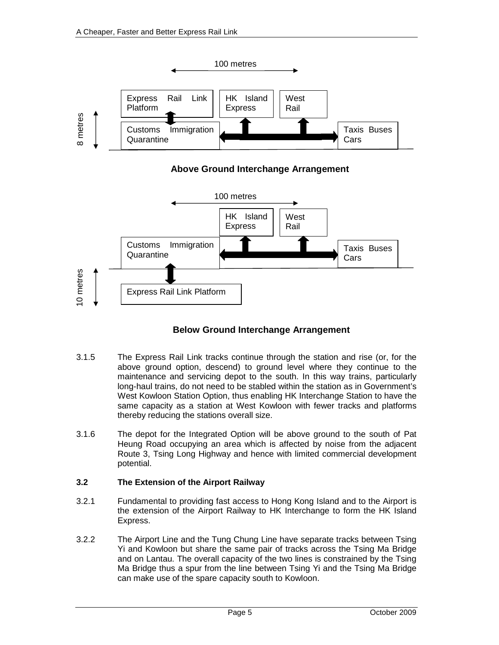

**Above Ground Interchange Arrangement**



# **Below Ground Interchange Arrangement**

- 3.1.5 The Express Rail Link tracks continue through the station and rise (or, for the above ground option, descend) to ground level where they continue to the maintenance and servicing depot to the south. In this way trains, particularly long-haul trains, do not need to be stabled within the station as in Government's West Kowloon Station Option, thus enabling HK Interchange Station to have the same capacity as a station at West Kowloon with fewer tracks and platforms thereby reducing the stations overall size.
- 3.1.6 The depot for the Integrated Option will be above ground to the south of Pat Heung Road occupying an area which is affected by noise from the adjacent Route 3, Tsing Long Highway and hence with limited commercial development potential.

## **3.2 The Extension of the Airport Railway**

- 3.2.1 Fundamental to providing fast access to Hong Kong Island and to the Airport is the extension of the Airport Railway to HK Interchange to form the HK Island Express.
- 3.2.2 The Airport Line and the Tung Chung Line have separate tracks between Tsing Yi and Kowloon but share the same pair of tracks across the Tsing Ma Bridge and on Lantau. The overall capacity of the two lines is constrained by the Tsing Ma Bridge thus a spur from the line between Tsing Yi and the Tsing Ma Bridge can make use of the spare capacity south to Kowloon.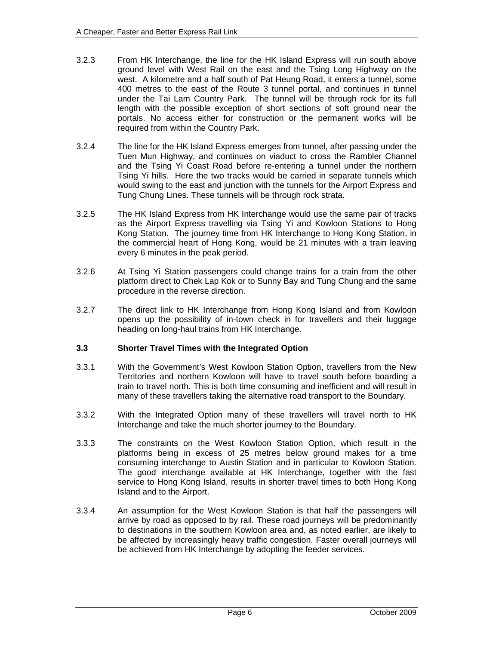- 3.2.3 From HK Interchange, the line for the HK Island Express will run south above ground level with West Rail on the east and the Tsing Long Highway on the west. A kilometre and a half south of Pat Heung Road, it enters a tunnel, some 400 metres to the east of the Route 3 tunnel portal, and continues in tunnel under the Tai Lam Country Park. The tunnel will be through rock for its full length with the possible exception of short sections of soft ground near the portals. No access either for construction or the permanent works will be required from within the Country Park.
- 3.2.4 The line for the HK Island Express emerges from tunnel, after passing under the Tuen Mun Highway, and continues on viaduct to cross the Rambler Channel and the Tsing Yi Coast Road before re-entering a tunnel under the northern Tsing Yi hills. Here the two tracks would be carried in separate tunnels which would swing to the east and junction with the tunnels for the Airport Express and Tung Chung Lines. These tunnels will be through rock strata.
- 3.2.5 The HK Island Express from HK Interchange would use the same pair of tracks as the Airport Express travelling via Tsing Yi and Kowloon Stations to Hong Kong Station. The journey time from HK Interchange to Hong Kong Station, in the commercial heart of Hong Kong, would be 21 minutes with a train leaving every 6 minutes in the peak period.
- 3.2.6 At Tsing Yi Station passengers could change trains for a train from the other platform direct to Chek Lap Kok or to Sunny Bay and Tung Chung and the same procedure in the reverse direction.
- 3.2.7 The direct link to HK Interchange from Hong Kong Island and from Kowloon opens up the possibility of in-town check in for travellers and their luggage heading on long-haul trains from HK Interchange.

## **3.3 Shorter Travel Times with the Integrated Option**

- 3.3.1 With the Government's West Kowloon Station Option, travellers from the New Territories and northern Kowloon will have to travel south before boarding a train to travel north. This is both time consuming and inefficient and will result in many of these travellers taking the alternative road transport to the Boundary.
- 3.3.2 With the Integrated Option many of these travellers will travel north to HK Interchange and take the much shorter journey to the Boundary.
- 3.3.3 The constraints on the West Kowloon Station Option, which result in the platforms being in excess of 25 metres below ground makes for a time consuming interchange to Austin Station and in particular to Kowloon Station. The good interchange available at HK Interchange, together with the fast service to Hong Kong Island, results in shorter travel times to both Hong Kong Island and to the Airport.
- 3.3.4 An assumption for the West Kowloon Station is that half the passengers will arrive by road as opposed to by rail. These road journeys will be predominantly to destinations in the southern Kowloon area and, as noted earlier, are likely to be affected by increasingly heavy traffic congestion. Faster overall journeys will be achieved from HK Interchange by adopting the feeder services.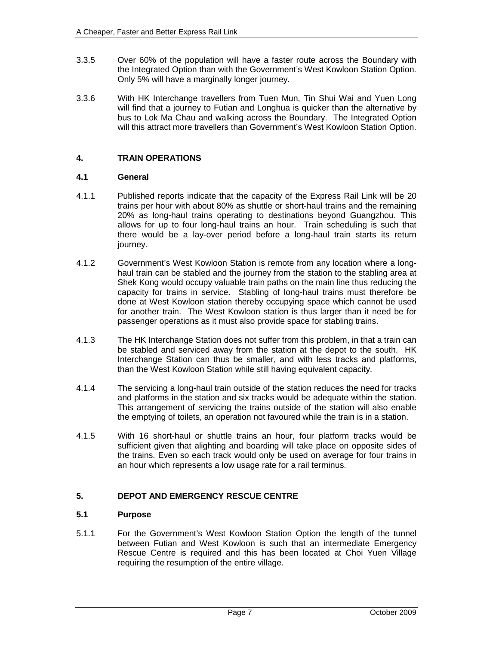- 3.3.5 Over 60% of the population will have a faster route across the Boundary with the Integrated Option than with the Government's West Kowloon Station Option. Only 5% will have a marginally longer journey.
- 3.3.6 With HK Interchange travellers from Tuen Mun, Tin Shui Wai and Yuen Long will find that a journey to Futian and Longhua is quicker than the alternative by bus to Lok Ma Chau and walking across the Boundary. The Integrated Option will this attract more travellers than Government's West Kowloon Station Option.

## **4. TRAIN OPERATIONS**

## **4.1 General**

- 4.1.1 Published reports indicate that the capacity of the Express Rail Link will be 20 trains per hour with about 80% as shuttle or short-haul trains and the remaining 20% as long-haul trains operating to destinations beyond Guangzhou. This allows for up to four long-haul trains an hour. Train scheduling is such that there would be a lay-over period before a long-haul train starts its return journey.
- 4.1.2 Government's West Kowloon Station is remote from any location where a longhaul train can be stabled and the journey from the station to the stabling area at Shek Kong would occupy valuable train paths on the main line thus reducing the capacity for trains in service. Stabling of long-haul trains must therefore be done at West Kowloon station thereby occupying space which cannot be used for another train. The West Kowloon station is thus larger than it need be for passenger operations as it must also provide space for stabling trains.
- 4.1.3 The HK Interchange Station does not suffer from this problem, in that a train can be stabled and serviced away from the station at the depot to the south. HK Interchange Station can thus be smaller, and with less tracks and platforms, than the West Kowloon Station while still having equivalent capacity.
- 4.1.4 The servicing a long-haul train outside of the station reduces the need for tracks and platforms in the station and six tracks would be adequate within the station. This arrangement of servicing the trains outside of the station will also enable the emptying of toilets, an operation not favoured while the train is in a station.
- 4.1.5 With 16 short-haul or shuttle trains an hour, four platform tracks would be sufficient given that alighting and boarding will take place on opposite sides of the trains. Even so each track would only be used on average for four trains in an hour which represents a low usage rate for a rail terminus.

## **5. DEPOT AND EMERGENCY RESCUE CENTRE**

#### **5.1 Purpose**

5.1.1 For the Government's West Kowloon Station Option the length of the tunnel between Futian and West Kowloon is such that an intermediate Emergency Rescue Centre is required and this has been located at Choi Yuen Village requiring the resumption of the entire village.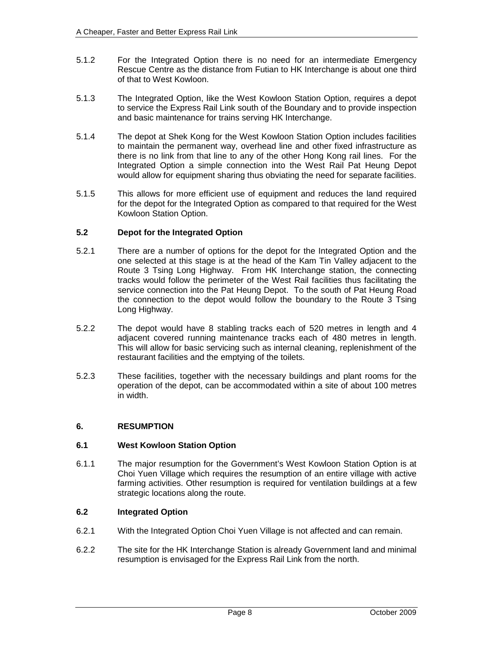- 5.1.2 For the Integrated Option there is no need for an intermediate Emergency Rescue Centre as the distance from Futian to HK Interchange is about one third of that to West Kowloon.
- 5.1.3 The Integrated Option, like the West Kowloon Station Option, requires a depot to service the Express Rail Link south of the Boundary and to provide inspection and basic maintenance for trains serving HK Interchange.
- 5.1.4 The depot at Shek Kong for the West Kowloon Station Option includes facilities to maintain the permanent way, overhead line and other fixed infrastructure as there is no link from that line to any of the other Hong Kong rail lines. For the Integrated Option a simple connection into the West Rail Pat Heung Depot would allow for equipment sharing thus obviating the need for separate facilities.
- 5.1.5 This allows for more efficient use of equipment and reduces the land required for the depot for the Integrated Option as compared to that required for the West Kowloon Station Option.

## **5.2 Depot for the Integrated Option**

- 5.2.1 There are a number of options for the depot for the Integrated Option and the one selected at this stage is at the head of the Kam Tin Valley adjacent to the Route 3 Tsing Long Highway. From HK Interchange station, the connecting tracks would follow the perimeter of the West Rail facilities thus facilitating the service connection into the Pat Heung Depot. To the south of Pat Heung Road the connection to the depot would follow the boundary to the Route 3 Tsing Long Highway.
- 5.2.2 The depot would have 8 stabling tracks each of 520 metres in length and 4 adjacent covered running maintenance tracks each of 480 metres in length. This will allow for basic servicing such as internal cleaning, replenishment of the restaurant facilities and the emptying of the toilets.
- 5.2.3 These facilities, together with the necessary buildings and plant rooms for the operation of the depot, can be accommodated within a site of about 100 metres in width.

## **6. RESUMPTION**

## **6.1 West Kowloon Station Option**

6.1.1 The major resumption for the Government's West Kowloon Station Option is at Choi Yuen Village which requires the resumption of an entire village with active farming activities. Other resumption is required for ventilation buildings at a few strategic locations along the route.

#### **6.2 Integrated Option**

- 6.2.1 With the Integrated Option Choi Yuen Village is not affected and can remain.
- 6.2.2 The site for the HK Interchange Station is already Government land and minimal resumption is envisaged for the Express Rail Link from the north.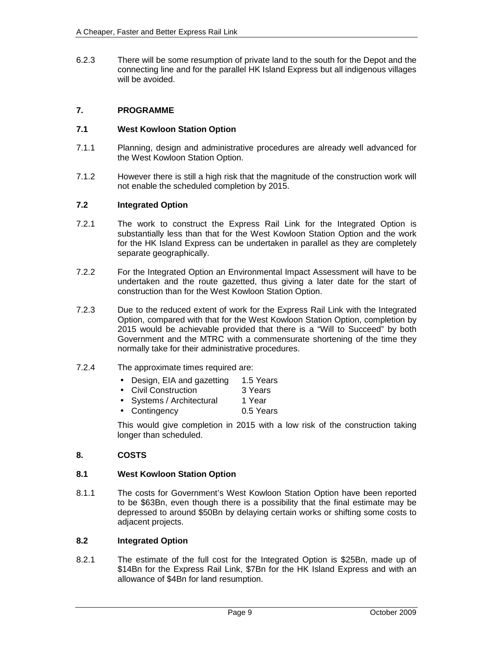6.2.3 There will be some resumption of private land to the south for the Depot and the connecting line and for the parallel HK Island Express but all indigenous villages will be avoided.

## **7. PROGRAMME**

#### **7.1 West Kowloon Station Option**

- 7.1.1 Planning, design and administrative procedures are already well advanced for the West Kowloon Station Option.
- 7.1.2 However there is still a high risk that the magnitude of the construction work will not enable the scheduled completion by 2015.

#### **7.2 Integrated Option**

- 7.2.1 The work to construct the Express Rail Link for the Integrated Option is substantially less than that for the West Kowloon Station Option and the work for the HK Island Express can be undertaken in parallel as they are completely separate geographically.
- 7.2.2 For the Integrated Option an Environmental Impact Assessment will have to be undertaken and the route gazetted, thus giving a later date for the start of construction than for the West Kowloon Station Option.
- 7.2.3 Due to the reduced extent of work for the Express Rail Link with the Integrated Option, compared with that for the West Kowloon Station Option, completion by 2015 would be achievable provided that there is a "Will to Succeed" by both Government and the MTRC with a commensurate shortening of the time they normally take for their administrative procedures.
- 7.2.4 The approximate times required are:
	- Design, EIA and gazetting 1.5 Years
	- Civil Construction 3 Years
	- Systems / Architectural 1 Year
	- Contingency 0.5 Years

This would give completion in 2015 with a low risk of the construction taking longer than scheduled.

## **8. COSTS**

#### **8.1 West Kowloon Station Option**

8.1.1 The costs for Government's West Kowloon Station Option have been reported to be \$63Bn, even though there is a possibility that the final estimate may be depressed to around \$50Bn by delaying certain works or shifting some costs to adjacent projects.

#### **8.2 Integrated Option**

8.2.1 The estimate of the full cost for the Integrated Option is \$25Bn, made up of \$14Bn for the Express Rail Link, \$7Bn for the HK Island Express and with an allowance of \$4Bn for land resumption.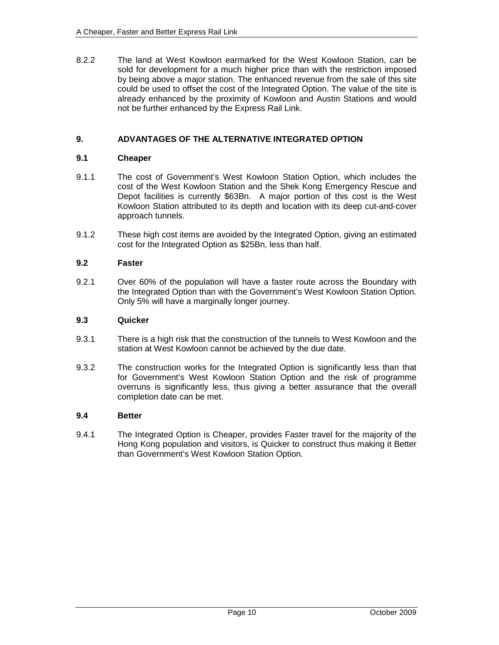8.2.2 The land at West Kowloon earmarked for the West Kowloon Station, can be sold for development for a much higher price than with the restriction imposed by being above a major station. The enhanced revenue from the sale of this site could be used to offset the cost of the Integrated Option. The value of the site is already enhanced by the proximity of Kowloon and Austin Stations and would not be further enhanced by the Express Rail Link.

## **9. ADVANTAGES OF THE ALTERNATIVE INTEGRATED OPTION**

#### **9.1 Cheaper**

- 9.1.1 The cost of Government's West Kowloon Station Option, which includes the cost of the West Kowloon Station and the Shek Kong Emergency Rescue and Depot facilities is currently \$63Bn. A major portion of this cost is the West Kowloon Station attributed to its depth and location with its deep cut-and-cover approach tunnels.
- 9.1.2 These high cost items are avoided by the Integrated Option, giving an estimated cost for the Integrated Option as \$25Bn, less than half.

#### **9.2 Faster**

9.2.1 Over 60% of the population will have a faster route across the Boundary with the Integrated Option than with the Government's West Kowloon Station Option. Only 5% will have a marginally longer journey.

#### **9.3 Quicker**

- 9.3.1 There is a high risk that the construction of the tunnels to West Kowloon and the station at West Kowloon cannot be achieved by the due date.
- 9.3.2 The construction works for the Integrated Option is significantly less than that for Government's West Kowloon Station Option and the risk of programme overruns is significantly less, thus giving a better assurance that the overall completion date can be met.

#### **9.4 Better**

9.4.1 The Integrated Option is Cheaper, provides Faster travel for the majority of the Hong Kong population and visitors, is Quicker to construct thus making it Better than Government's West Kowloon Station Option.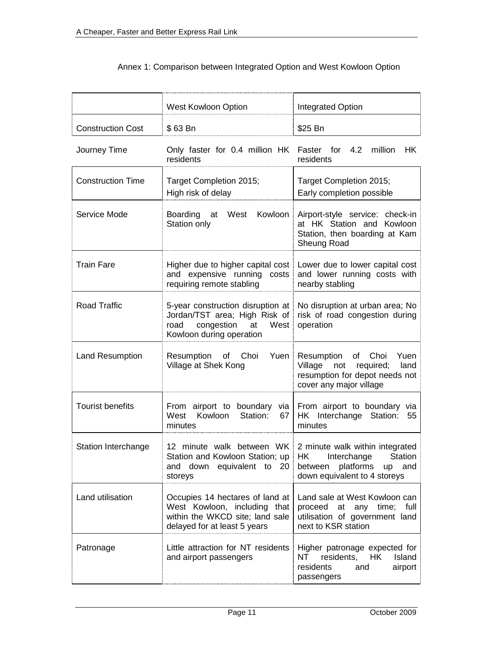|                            | West Kowloon Option                                                                                                                  | <b>Integrated Option</b>                                                                                                  |  |  |
|----------------------------|--------------------------------------------------------------------------------------------------------------------------------------|---------------------------------------------------------------------------------------------------------------------------|--|--|
| <b>Construction Cost</b>   | \$63 Bn                                                                                                                              | \$25 Bn                                                                                                                   |  |  |
| Journey Time               | Only faster for 0.4 million HK Faster for<br>residents                                                                               | 4.2<br>million HK<br>residents                                                                                            |  |  |
| <b>Construction Time</b>   | Target Completion 2015;<br>High risk of delay                                                                                        | Target Completion 2015;<br>Early completion possible                                                                      |  |  |
| Service Mode               | Boarding at West<br>Kowloon<br>Station only                                                                                          | Airport-style service: check-in<br>at HK Station and Kowloon<br>Station, then boarding at Kam<br>Sheung Road              |  |  |
| <b>Train Fare</b>          | Higher due to higher capital cost<br>and expensive running costs<br>requiring remote stabling                                        | Lower due to lower capital cost<br>and lower running costs with<br>nearby stabling                                        |  |  |
| <b>Road Traffic</b>        | 5-year construction disruption at<br>Jordan/TST area; High Risk of<br>congestion<br>West<br>road<br>at<br>Kowloon during operation   | No disruption at urban area; No<br>risk of road congestion during<br>operation                                            |  |  |
| Land Resumption            | Resumption of Choi<br>Yuen<br>Village at Shek Kong                                                                                   | Resumption of Choi<br>Yuen<br>Village not required;<br>land<br>resumption for depot needs not<br>cover any major village  |  |  |
| <b>Tourist benefits</b>    | From airport to boundary via From airport to boundary via<br>West<br>Kowloon<br>Station:<br>67<br>minutes                            | HK Interchange Station:<br>55<br>minutes                                                                                  |  |  |
| <b>Station Interchange</b> | 12 minute walk between WK 2 minute walk within integrated<br>Station and Kowloon Station; up<br>and down equivalent to 20<br>storeys | HK Interchange Station<br>between platforms<br>and<br>up<br>down equivalent to 4 storeys                                  |  |  |
| Land utilisation           | Occupies 14 hectares of land at<br>West Kowloon, including that<br>within the WKCD site; land sale<br>delayed for at least 5 years   | Land sale at West Kowloon can<br>proceed<br>at any<br>time; full<br>utilisation of government land<br>next to KSR station |  |  |
| Patronage                  | Little attraction for NT residents<br>and airport passengers                                                                         | Higher patronage expected for<br>Island<br>NT<br>residents,<br>HK<br>residents<br>and<br>airport<br>passengers            |  |  |

# Annex 1: Comparison between Integrated Option and West Kowloon Option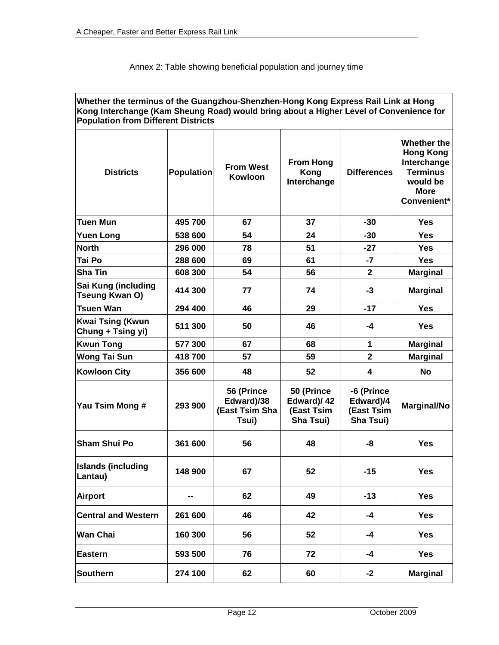| Whether the terminus of the Guangzhou-Shenzhen-Hong Kong Express Rail Link at Hong<br>Kong Interchange (Kam Sheung Road) would bring about a Higher Level of Convenience for<br><b>Population from Different Districts</b> |                   |                                                     |                                                     |                                                    |                                                                                                             |  |  |
|----------------------------------------------------------------------------------------------------------------------------------------------------------------------------------------------------------------------------|-------------------|-----------------------------------------------------|-----------------------------------------------------|----------------------------------------------------|-------------------------------------------------------------------------------------------------------------|--|--|
| <b>Districts</b>                                                                                                                                                                                                           | <b>Population</b> | <b>From West</b><br><b>Kowloon</b>                  | <b>From Hong</b><br>Kong<br>Interchange             | <b>Differences</b>                                 | Whether the<br><b>Hong Kong</b><br>Interchange<br><b>Terminus</b><br>would be<br><b>More</b><br>Convenient* |  |  |
| <b>Tuen Mun</b>                                                                                                                                                                                                            | 495 700           | 67                                                  | 37                                                  | $-30$                                              | <b>Yes</b>                                                                                                  |  |  |
| <b>Yuen Long</b>                                                                                                                                                                                                           | 538 600           | 54                                                  | 24                                                  | $-30$                                              | <b>Yes</b>                                                                                                  |  |  |
| <b>North</b>                                                                                                                                                                                                               | 296 000           | 78                                                  | 51                                                  | $-27$                                              | <b>Yes</b>                                                                                                  |  |  |
| Tai Po                                                                                                                                                                                                                     | 288 600           | 69                                                  | 61                                                  | $-7$                                               | <b>Yes</b>                                                                                                  |  |  |
| <b>Sha Tin</b>                                                                                                                                                                                                             | 608 300           | 54                                                  | 56                                                  | $\mathbf{2}$                                       | <b>Marginal</b>                                                                                             |  |  |
| Sai Kung (including<br>Tseung Kwan O)                                                                                                                                                                                      | 414 300           | 77                                                  | 74                                                  | $-3$                                               | <b>Marginal</b>                                                                                             |  |  |
| <b>Tsuen Wan</b>                                                                                                                                                                                                           | 294 400           | 46                                                  | 29                                                  | $-17$                                              | <b>Yes</b>                                                                                                  |  |  |
| <b>Kwai Tsing (Kwun</b><br>Chung + Tsing yi)                                                                                                                                                                               | 511 300           | 50                                                  | 46                                                  | $-4$                                               | <b>Yes</b>                                                                                                  |  |  |
| <b>Kwun Tong</b>                                                                                                                                                                                                           | 577 300           | 67                                                  | 68                                                  | 1                                                  | <b>Marginal</b>                                                                                             |  |  |
| <b>Wong Tai Sun</b>                                                                                                                                                                                                        | 418700            | 57                                                  | 59                                                  | $\overline{2}$                                     | <b>Marginal</b>                                                                                             |  |  |
| <b>Kowloon City</b>                                                                                                                                                                                                        | 356 600           | 48                                                  | 52                                                  | 4                                                  | <b>No</b>                                                                                                   |  |  |
| Yau Tsim Mong #                                                                                                                                                                                                            | 293 900           | 56 (Prince<br>Edward)/38<br>(East Tsim Sha<br>Tsui) | 50 (Prince<br>Edward)/42<br>(East Tsim<br>Sha Tsui) | -6 (Prince<br>Edward)/4<br>(East Tsim<br>Sha Tsui) | Marginal/No                                                                                                 |  |  |
| <b>Sham Shui Po</b>                                                                                                                                                                                                        | 361 600           | 56                                                  | 48                                                  | -8                                                 | <b>Yes</b>                                                                                                  |  |  |
| <b>Islands (including</b><br>Lantau)                                                                                                                                                                                       | 148 900           | 67                                                  | 52                                                  | $-15$                                              | <b>Yes</b>                                                                                                  |  |  |
| <b>Airport</b>                                                                                                                                                                                                             | --                | 62                                                  | 49                                                  | $-13$                                              | <b>Yes</b>                                                                                                  |  |  |
| <b>Central and Western</b>                                                                                                                                                                                                 | 261 600           | 46                                                  | 42                                                  | $-4$                                               | <b>Yes</b>                                                                                                  |  |  |
| <b>Wan Chai</b>                                                                                                                                                                                                            | 160 300           | 56                                                  | 52                                                  | $-4$                                               | <b>Yes</b>                                                                                                  |  |  |
| <b>Eastern</b>                                                                                                                                                                                                             | 593 500           | 76                                                  | 72                                                  | -4                                                 | <b>Yes</b>                                                                                                  |  |  |
| <b>Southern</b>                                                                                                                                                                                                            | 274 100           | 62                                                  | 60                                                  | $-2$                                               | <b>Marginal</b>                                                                                             |  |  |

## Annex 2: Table showing beneficial population and journey time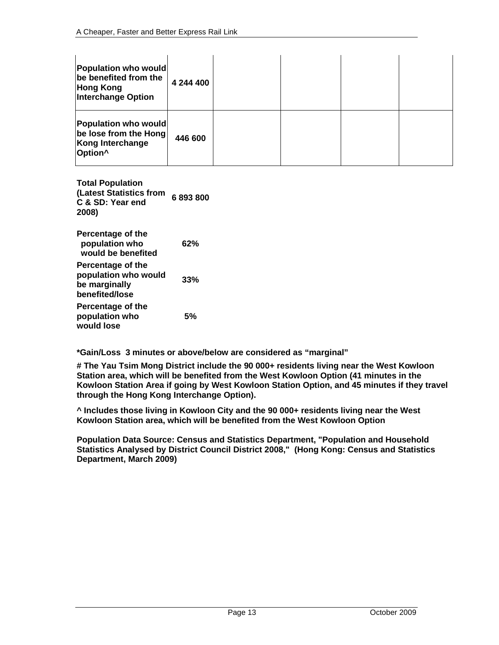| Population who would<br>be benefited from the<br><b>Hong Kong</b><br><b>Interchange Option</b> | 4 244 400 |  |  |
|------------------------------------------------------------------------------------------------|-----------|--|--|
| Population who would<br>be lose from the Hong<br>Kong Interchange<br>Option <sup>^</sup>       | 446 600   |  |  |

**Total Population (Latest Statistics from 6 893 800 C & SD: Year end 2008) Percentage of the population who would be benefited 62% Percentage of the population who would be marginally benefited/lose 33%** 

**Percentage of the population who would lose 5%** 

**\*Gain/Loss 3 minutes or above/below are considered as "marginal"** 

**# The Yau Tsim Mong District include the 90 000+ residents living near the West Kowloon Station area, which will be benefited from the West Kowloon Option (41 minutes in the Kowloon Station Area if going by West Kowloon Station Option, and 45 minutes if they travel through the Hong Kong Interchange Option).** 

**^ Includes those living in Kowloon City and the 90 000+ residents living near the West Kowloon Station area, which will be benefited from the West Kowloon Option** 

**Population Data Source: Census and Statistics Department, "Population and Household Statistics Analysed by District Council District 2008," (Hong Kong: Census and Statistics Department, March 2009)**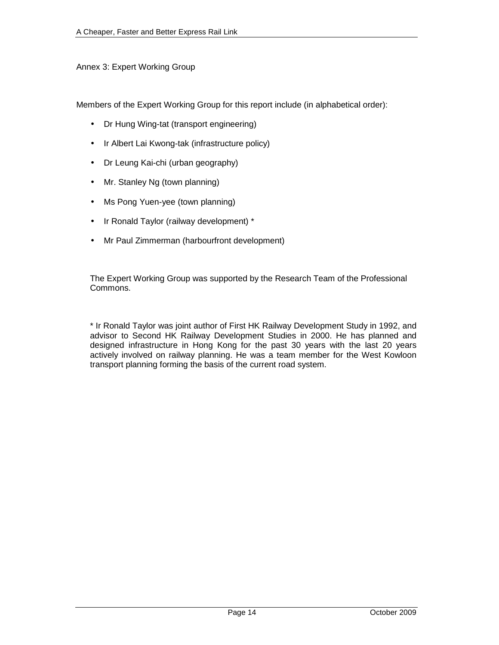## Annex 3: Expert Working Group

Members of the Expert Working Group for this report include (in alphabetical order):

- Dr Hung Wing-tat (transport engineering)
- Ir Albert Lai Kwong-tak (infrastructure policy)
- Dr Leung Kai-chi (urban geography)
- Mr. Stanley Ng (town planning)
- Ms Pong Yuen-yee (town planning)
- Ir Ronald Taylor (railway development) \*
- Mr Paul Zimmerman (harbourfront development)

The Expert Working Group was supported by the Research Team of the Professional Commons.

\* Ir Ronald Taylor was joint author of First HK Railway Development Study in 1992, and advisor to Second HK Railway Development Studies in 2000. He has planned and designed infrastructure in Hong Kong for the past 30 years with the last 20 years actively involved on railway planning. He was a team member for the West Kowloon transport planning forming the basis of the current road system.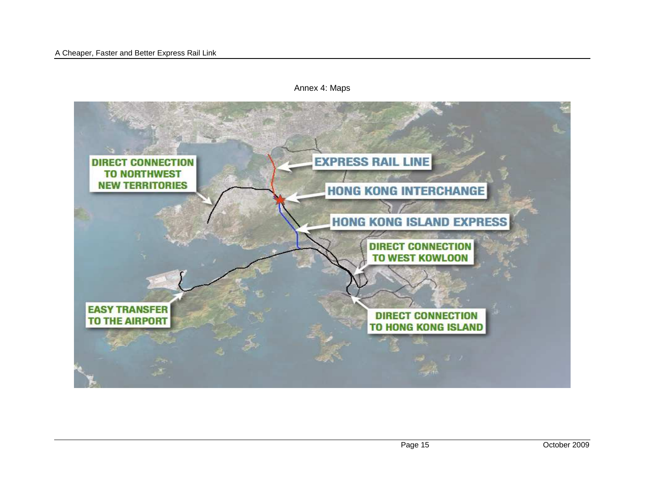

Annex 4: Maps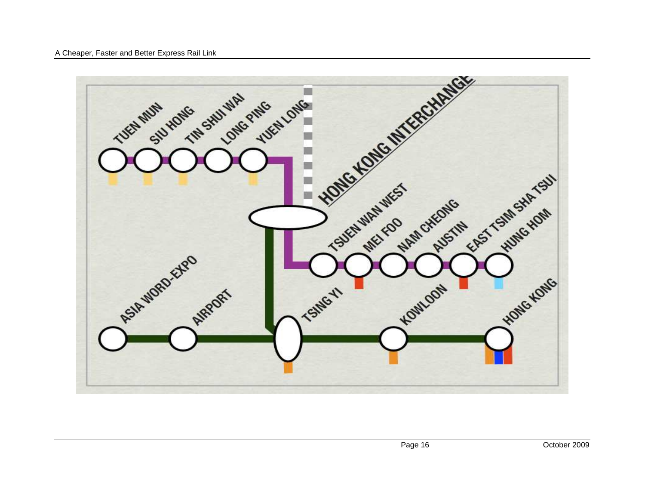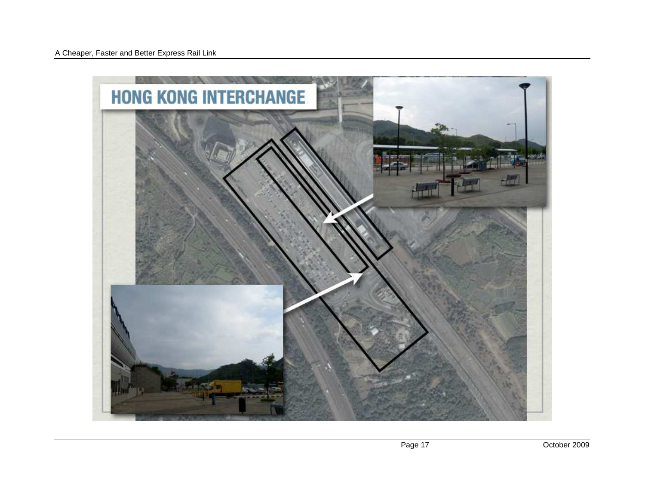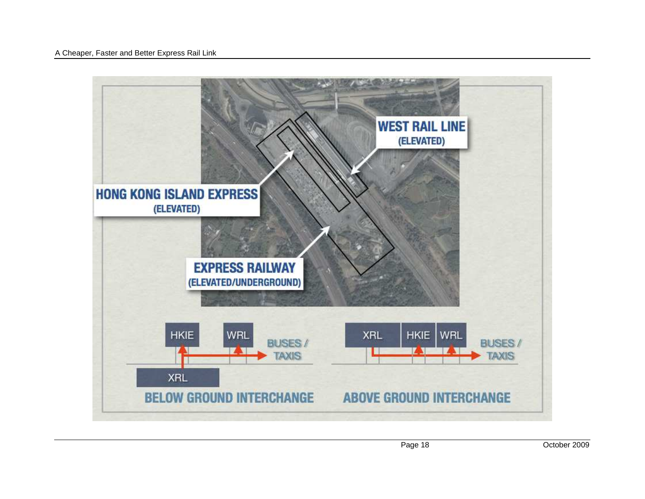